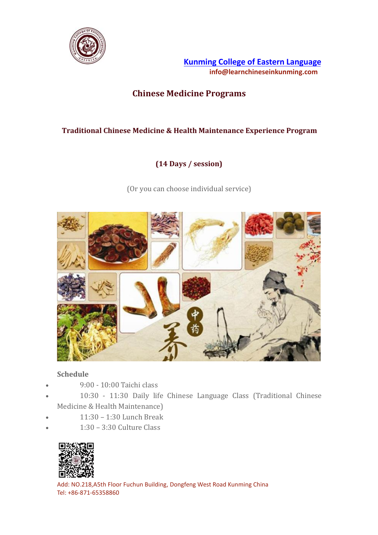

**Kunming College of Eastern [Language](https://www.learnchineseinkunming.com/) info@learnchineseinkunming.com**

# **Chinese Medicine Programs**

## **Traditional Chinese Medicine & Health Maintenance Experience Program**

### **(14 Days / session)**

(Or you can choose individual service)



#### **Schedule**

- 9:00 10:00 Taichi class
- 10:30 11:30 Daily life Chinese Language Class (Traditional Chinese Medicine & Health Maintenance)
- 11:30 1:30 Lunch Break
- 1:30 3:30 Culture Class



Add: NO.218,A5th Floor Fuchun Building, Dongfeng West Road Kunming China Tel: +86-871-65358860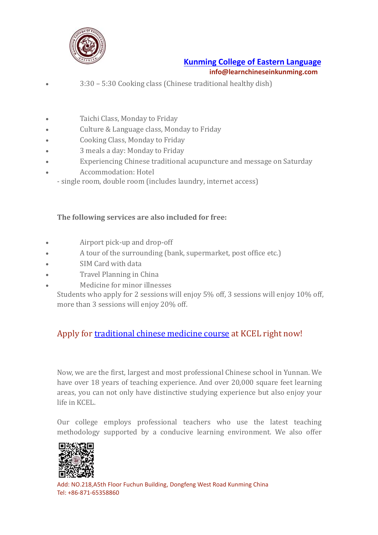

# **Kunming College of Eastern [Language](https://www.learnchineseinkunming.com/) info@learnchineseinkunming.com**

- 3:30 5:30 Cooking class (Chinese traditional healthy dish)
- Taichi Class, Monday to Friday
- Culture & Language class, Monday to Friday
- Cooking Class, Monday to Friday
- 3 meals a day: Monday to Friday
- Experiencing Chinese traditional acupuncture and message on Saturday
- Accommodation: Hotel
	- single room, double room (includes laundry, internet access)

#### **The following services are also included for free:**

- Airport pick-up and drop-off
- A tour of the surrounding (bank, supermarket, post office etc.)
- SIM Card with data
- Travel Planning in China
- Medicine for minor illnesses
	- Students who apply for 2 sessions will enjoy 5% off, 3 sessions will enjoy 10% off, more than 3 sessions will enjoy 20% off.

# Apply for [traditional](https://www.learnchineseinkunming.com/chinese-medicine-and-health-maintain-program.html) chinese medicine course at KCEL right now!

Now, we are the first, largest and most professional Chinese school in Yunnan. We have over 18 years of teaching experience. And over 20,000 square feet learning areas, you can not only have distinctive studying experience but also enjoy your life in KCEL.

Our college employs professional teachers who use the latest teaching methodology supported by a conducive learning environment. We also offer



Add: NO.218,A5th Floor Fuchun Building, Dongfeng West Road Kunming China Tel: +86-871-65358860